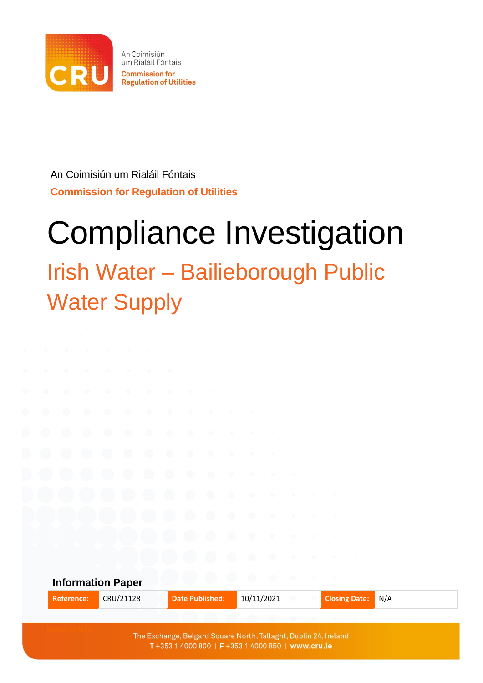

An Coimisiún um Rialáil Fóntais **Commission for Regulation of Utilities** 

An Coimisiún um Rialáil Fóntais **Commission for Regulation of Utilities**

# Compliance Investigation

# Irish Water – Bailieborough Public Water Supply



T+353 1 4000 800 | F+353 1 4000 850 | www.cru.ie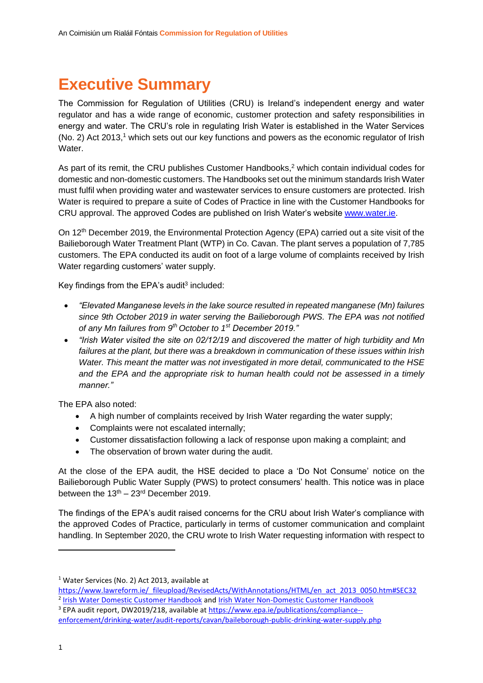# **Executive Summary**

The Commission for Regulation of Utilities (CRU) is Ireland's independent energy and water regulator and has a wide range of economic, customer protection and safety responsibilities in energy and water. The CRU's role in regulating Irish Water is established in the Water Services (No. 2) Act 2013, <sup>1</sup> which sets out our key functions and powers as the economic regulator of Irish Water

As part of its remit, the CRU publishes Customer Handbooks, <sup>2</sup> which contain individual codes for domestic and non-domestic customers. The Handbooks set out the minimum standards Irish Water must fulfil when providing water and wastewater services to ensure customers are protected. Irish Water is required to prepare a suite of Codes of Practice in line with the Customer Handbooks for CRU approval. The approved Codes are published on Irish Water's website [www.water.ie.](http://www.water.ie/)

On 12th December 2019, the Environmental Protection Agency (EPA) carried out a site visit of the Bailieborough Water Treatment Plant (WTP) in Co. Cavan. The plant serves a population of 7,785 customers. The EPA conducted its audit on foot of a large volume of complaints received by Irish Water regarding customers' water supply.

Key findings from the EPA's audit<sup>3</sup> included:

- *"Elevated Manganese levels in the lake source resulted in repeated manganese (Mn) failures since 9th October 2019 in water serving the Bailieborough PWS. The EPA was not notified of any Mn failures from 9th October to 1st December 2019."*
- *"Irish Water visited the site on 02/12/19 and discovered the matter of high turbidity and Mn failures at the plant, but there was a breakdown in communication of these issues within Irish Water. This meant the matter was not investigated in more detail, communicated to the HSE and the EPA and the appropriate risk to human health could not be assessed in a timely manner."*

The EPA also noted:

- A high number of complaints received by Irish Water regarding the water supply;
- Complaints were not escalated internally;
- Customer dissatisfaction following a lack of response upon making a complaint; and
- The observation of brown water during the audit.

At the close of the EPA audit, the HSE decided to place a 'Do Not Consume' notice on the Bailieborough Public Water Supply (PWS) to protect consumers' health. This notice was in place between the  $13<sup>th</sup> - 23<sup>rd</sup>$  December 2019.

The findings of the EPA's audit raised concerns for the CRU about Irish Water's compliance with the approved Codes of Practice, particularly in terms of customer communication and complaint handling. In September 2020, the CRU wrote to Irish Water requesting information with respect to

- [https://www.lawreform.ie/\\_fileupload/RevisedActs/WithAnnotations/HTML/en\\_act\\_2013\\_0050.htm#SEC32](https://www.lawreform.ie/_fileupload/RevisedActs/WithAnnotations/HTML/en_act_2013_0050.htm#SEC32) <sup>2</sup> [Irish Water Domestic Customer Handbook](https://www.cru.ie/wp-content/uploads/2020/12/CRU20116a-Irish-Water-Domestic-Customer-Handbook-October-2020-.pdf) and [Irish Water Non-Domestic Customer Handbook](https://www.cru.ie/wp-content/uploads/2020/12/CRU20117b-Irish-Water-Non-Domestic-Customer-Handbook-October-2020.pdf)
- <sup>3</sup> EPA audit report, DW2019/218, available at [https://www.epa.ie/publications/compliance-](https://www.epa.ie/publications/compliance--enforcement/drinking-water/audit-reports/cavan/baileborough-public-drinking-water-supply.php) [enforcement/drinking-water/audit-reports/cavan/baileborough-public-drinking-water-supply.php](https://www.epa.ie/publications/compliance--enforcement/drinking-water/audit-reports/cavan/baileborough-public-drinking-water-supply.php)

<sup>1</sup> Water Services (No. 2) Act 2013, available at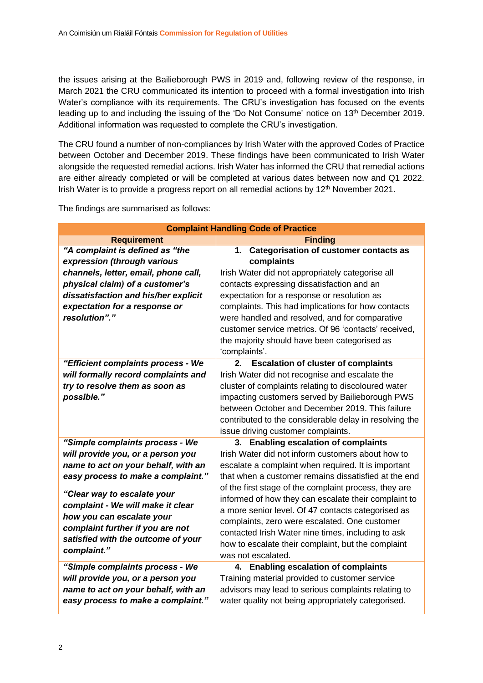the issues arising at the Bailieborough PWS in 2019 and, following review of the response, in March 2021 the CRU communicated its intention to proceed with a formal investigation into Irish Water's compliance with its requirements. The CRU's investigation has focused on the events leading up to and including the issuing of the 'Do Not Consume' notice on 13<sup>th</sup> December 2019. Additional information was requested to complete the CRU's investigation.

The CRU found a number of non-compliances by Irish Water with the approved Codes of Practice between October and December 2019. These findings have been communicated to Irish Water alongside the requested remedial actions. Irish Water has informed the CRU that remedial actions are either already completed or will be completed at various dates between now and Q1 2022. Irish Water is to provide a progress report on all remedial actions by  $12<sup>th</sup>$  November 2021.

The findings are summarised as follows:

| <b>Complaint Handling Code of Practice</b> |                                                        |  |
|--------------------------------------------|--------------------------------------------------------|--|
| <b>Requirement</b>                         | <b>Finding</b>                                         |  |
| "A complaint is defined as "the            | <b>Categorisation of customer contacts as</b><br>1.    |  |
| expression (through various                | complaints                                             |  |
| channels, letter, email, phone call,       | Irish Water did not appropriately categorise all       |  |
| physical claim) of a customer's            | contacts expressing dissatisfaction and an             |  |
| dissatisfaction and his/her explicit       | expectation for a response or resolution as            |  |
| expectation for a response or              | complaints. This had implications for how contacts     |  |
| resolution"."                              | were handled and resolved, and for comparative         |  |
|                                            | customer service metrics. Of 96 'contacts' received,   |  |
|                                            | the majority should have been categorised as           |  |
|                                            | 'complaints'.                                          |  |
| "Efficient complaints process - We         | <b>Escalation of cluster of complaints</b><br>$2-$     |  |
| will formally record complaints and        | Irish Water did not recognise and escalate the         |  |
| try to resolve them as soon as             | cluster of complaints relating to discoloured water    |  |
| possible."                                 | impacting customers served by Bailieborough PWS        |  |
|                                            | between October and December 2019. This failure        |  |
|                                            | contributed to the considerable delay in resolving the |  |
|                                            | issue driving customer complaints.                     |  |
| "Simple complaints process - We            | 3. Enabling escalation of complaints                   |  |
| will provide you, or a person you          | Irish Water did not inform customers about how to      |  |
| name to act on your behalf, with an        | escalate a complaint when required. It is important    |  |
| easy process to make a complaint."         | that when a customer remains dissatisfied at the end   |  |
| "Clear way to escalate your                | of the first stage of the complaint process, they are  |  |
| complaint - We will make it clear          | informed of how they can escalate their complaint to   |  |
| how you can escalate your                  | a more senior level. Of 47 contacts categorised as     |  |
| complaint further if you are not           | complaints, zero were escalated. One customer          |  |
| satisfied with the outcome of your         | contacted Irish Water nine times, including to ask     |  |
| complaint."                                | how to escalate their complaint, but the complaint     |  |
|                                            | was not escalated.                                     |  |
| "Simple complaints process - We            | 4. Enabling escalation of complaints                   |  |
| will provide you, or a person you          | Training material provided to customer service         |  |
| name to act on your behalf, with an        | advisors may lead to serious complaints relating to    |  |
| easy process to make a complaint."         | water quality not being appropriately categorised.     |  |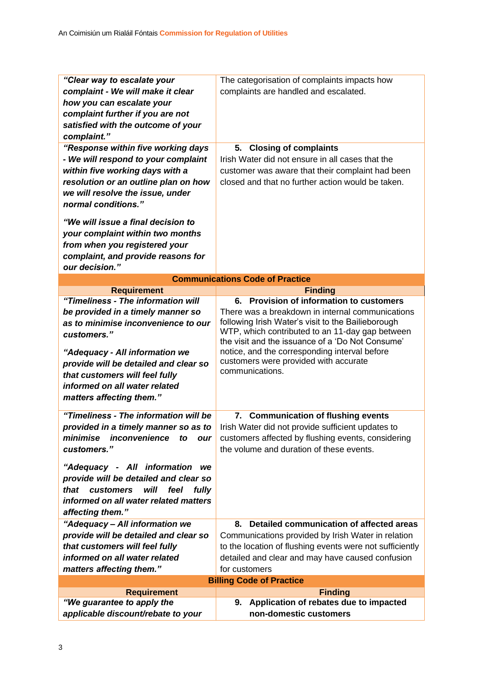| "Clear way to escalate your                | The categorisation of complaints impacts how                         |  |
|--------------------------------------------|----------------------------------------------------------------------|--|
| complaint - We will make it clear          | complaints are handled and escalated.                                |  |
| how you can escalate your                  |                                                                      |  |
| complaint further if you are not           |                                                                      |  |
| satisfied with the outcome of your         |                                                                      |  |
| complaint."                                |                                                                      |  |
| "Response within five working days         | <b>Closing of complaints</b><br>5.                                   |  |
| - We will respond to your complaint        | Irish Water did not ensure in all cases that the                     |  |
| within five working days with a            | customer was aware that their complaint had been                     |  |
|                                            | closed and that no further action would be taken.                    |  |
| resolution or an outline plan on how       |                                                                      |  |
| we will resolve the issue, under           |                                                                      |  |
| normal conditions."                        |                                                                      |  |
| "We will issue a final decision to         |                                                                      |  |
| your complaint within two months           |                                                                      |  |
| from when you registered your              |                                                                      |  |
| complaint, and provide reasons for         |                                                                      |  |
| our decision."                             |                                                                      |  |
|                                            | <b>Communications Code of Practice</b>                               |  |
| <b>Requirement</b>                         |                                                                      |  |
| "Timeliness - The information will         | <b>Finding</b><br><b>Provision of information to customers</b><br>6. |  |
| be provided in a timely manner so          | There was a breakdown in internal communications                     |  |
| as to minimise inconvenience to our        | following Irish Water's visit to the Bailieborough                   |  |
| customers."                                | WTP, which contributed to an 11-day gap between                      |  |
|                                            | the visit and the issuance of a 'Do Not Consume'                     |  |
| "Adequacy - All information we             | notice, and the corresponding interval before                        |  |
| provide will be detailed and clear so      | customers were provided with accurate                                |  |
| that customers will feel fully             | communications.                                                      |  |
| informed on all water related              |                                                                      |  |
| matters affecting them."                   |                                                                      |  |
|                                            |                                                                      |  |
| "Timeliness - The information will be      | <b>Communication of flushing events</b><br>7.                        |  |
| provided in a timely manner so as to       | Irish Water did not provide sufficient updates to                    |  |
| minimise inconvenience to our              | customers affected by flushing events, considering                   |  |
| customers."                                | the volume and duration of these events.                             |  |
| "Adequacy - All information we             |                                                                      |  |
| provide will be detailed and clear so      |                                                                      |  |
| will<br>that<br>customers<br>feel<br>fully |                                                                      |  |
| informed on all water related matters      |                                                                      |  |
| affecting them."                           |                                                                      |  |
|                                            |                                                                      |  |
| "Adequacy - All information we             | Detailed communication of affected areas<br>8.                       |  |
| provide will be detailed and clear so      | Communications provided by Irish Water in relation                   |  |
| that customers will feel fully             | to the location of flushing events were not sufficiently             |  |
| informed on all water related              | detailed and clear and may have caused confusion                     |  |
| matters affecting them."                   | for customers                                                        |  |
|                                            | <b>Billing Code of Practice</b>                                      |  |
| <b>Requirement</b>                         | <b>Finding</b>                                                       |  |
| "We guarantee to apply the                 | Application of rebates due to impacted<br>9.                         |  |
| applicable discount/rebate to your         | non-domestic customers                                               |  |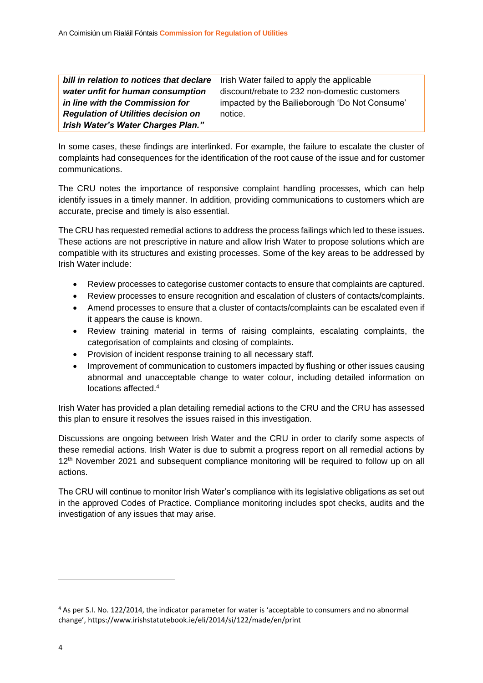| bill in relation to notices that declare   | Irish Water failed to apply the applicable     |
|--------------------------------------------|------------------------------------------------|
| water unfit for human consumption          | discount/rebate to 232 non-domestic customers  |
| in line with the Commission for            | impacted by the Bailieborough 'Do Not Consume' |
| <b>Regulation of Utilities decision on</b> | notice.                                        |
| Irish Water's Water Charges Plan."         |                                                |

In some cases, these findings are interlinked. For example, the failure to escalate the cluster of complaints had consequences for the identification of the root cause of the issue and for customer communications.

The CRU notes the importance of responsive complaint handling processes, which can help identify issues in a timely manner. In addition, providing communications to customers which are accurate, precise and timely is also essential.

The CRU has requested remedial actions to address the process failings which led to these issues. These actions are not prescriptive in nature and allow Irish Water to propose solutions which are compatible with its structures and existing processes. Some of the key areas to be addressed by Irish Water include:

- Review processes to categorise customer contacts to ensure that complaints are captured.
- Review processes to ensure recognition and escalation of clusters of contacts/complaints.
- Amend processes to ensure that a cluster of contacts/complaints can be escalated even if it appears the cause is known.
- Review training material in terms of raising complaints, escalating complaints, the categorisation of complaints and closing of complaints.
- Provision of incident response training to all necessary staff.
- Improvement of communication to customers impacted by flushing or other issues causing abnormal and unacceptable change to water colour, including detailed information on locations affected.<sup>4</sup>

Irish Water has provided a plan detailing remedial actions to the CRU and the CRU has assessed this plan to ensure it resolves the issues raised in this investigation.

Discussions are ongoing between Irish Water and the CRU in order to clarify some aspects of these remedial actions. Irish Water is due to submit a progress report on all remedial actions by 12<sup>th</sup> November 2021 and subsequent compliance monitoring will be required to follow up on all actions.

The CRU will continue to monitor Irish Water's compliance with its legislative obligations as set out in the approved Codes of Practice. Compliance monitoring includes spot checks, audits and the investigation of any issues that may arise.

<sup>4</sup> As per S.I. No. 122/2014, the indicator parameter for water is 'acceptable to consumers and no abnormal change', https://www.irishstatutebook.ie/eli/2014/si/122/made/en/print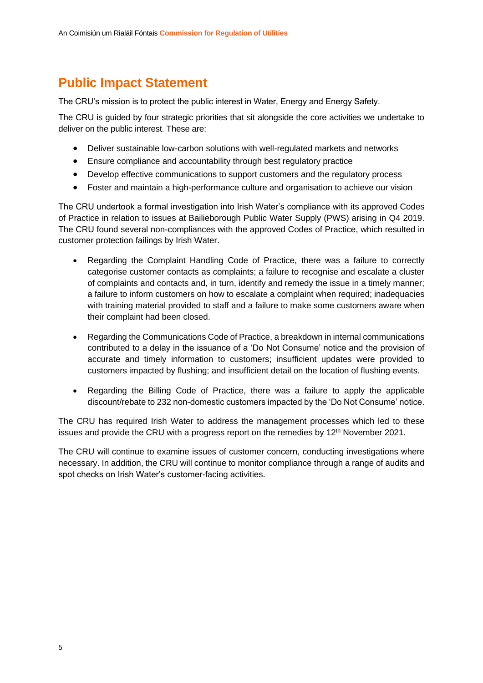### **Public Impact Statement**

The CRU's mission is to protect the public interest in Water, Energy and Energy Safety.

The CRU is guided by four strategic priorities that sit alongside the core activities we undertake to deliver on the public interest. These are:

- Deliver sustainable low-carbon solutions with well-regulated markets and networks
- Ensure compliance and accountability through best regulatory practice
- Develop effective communications to support customers and the regulatory process
- Foster and maintain a high-performance culture and organisation to achieve our vision

The CRU undertook a formal investigation into Irish Water's compliance with its approved Codes of Practice in relation to issues at Bailieborough Public Water Supply (PWS) arising in Q4 2019. The CRU found several non-compliances with the approved Codes of Practice, which resulted in customer protection failings by Irish Water.

- Regarding the Complaint Handling Code of Practice, there was a failure to correctly categorise customer contacts as complaints; a failure to recognise and escalate a cluster of complaints and contacts and, in turn, identify and remedy the issue in a timely manner; a failure to inform customers on how to escalate a complaint when required; inadequacies with training material provided to staff and a failure to make some customers aware when their complaint had been closed.
- Regarding the Communications Code of Practice, a breakdown in internal communications contributed to a delay in the issuance of a 'Do Not Consume' notice and the provision of accurate and timely information to customers; insufficient updates were provided to customers impacted by flushing; and insufficient detail on the location of flushing events.
- Regarding the Billing Code of Practice, there was a failure to apply the applicable discount/rebate to 232 non-domestic customers impacted by the 'Do Not Consume' notice.

The CRU has required Irish Water to address the management processes which led to these issues and provide the CRU with a progress report on the remedies by 12<sup>th</sup> November 2021.

The CRU will continue to examine issues of customer concern, conducting investigations where necessary. In addition, the CRU will continue to monitor compliance through a range of audits and spot checks on Irish Water's customer-facing activities.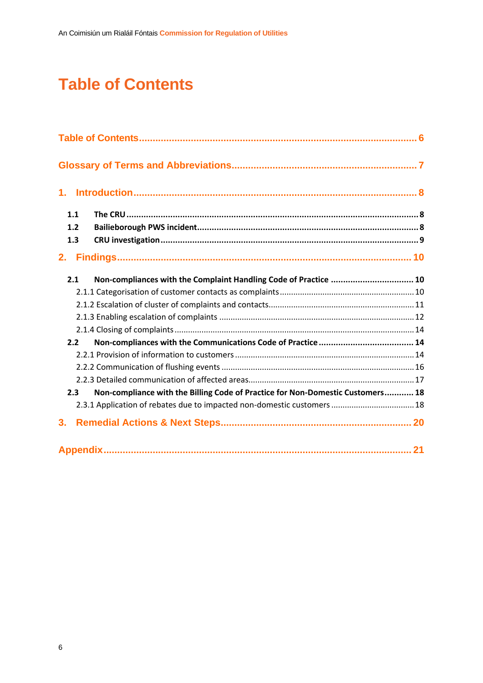# <span id="page-6-0"></span>**Table of Contents**

| 1.  |     |                                                                                |  |
|-----|-----|--------------------------------------------------------------------------------|--|
| 1.1 |     |                                                                                |  |
| 1.2 |     |                                                                                |  |
| 1.3 |     |                                                                                |  |
| 2.  |     |                                                                                |  |
| 2.1 |     | Non-compliances with the Complaint Handling Code of Practice  10               |  |
|     |     |                                                                                |  |
|     |     |                                                                                |  |
|     |     |                                                                                |  |
|     |     |                                                                                |  |
| 2.2 |     |                                                                                |  |
|     |     |                                                                                |  |
|     |     |                                                                                |  |
|     |     |                                                                                |  |
|     | 2.3 | Non-compliance with the Billing Code of Practice for Non-Domestic Customers 18 |  |
|     |     | 2.3.1 Application of rebates due to impacted non-domestic customers  18        |  |
| 3.  |     |                                                                                |  |
|     |     |                                                                                |  |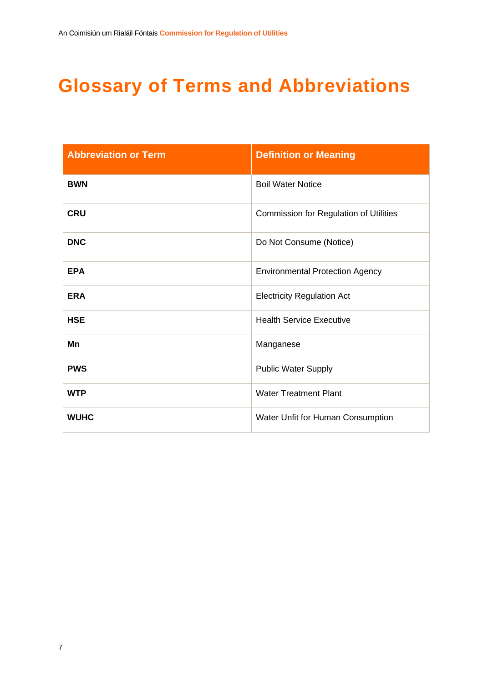# <span id="page-7-0"></span>**Glossary of Terms and Abbreviations**

| <b>Abbreviation or Term</b> | <b>Definition or Meaning</b>                  |
|-----------------------------|-----------------------------------------------|
| <b>BWN</b>                  | <b>Boil Water Notice</b>                      |
| <b>CRU</b>                  | <b>Commission for Regulation of Utilities</b> |
| <b>DNC</b>                  | Do Not Consume (Notice)                       |
| <b>EPA</b>                  | <b>Environmental Protection Agency</b>        |
| <b>ERA</b>                  | <b>Electricity Regulation Act</b>             |
| <b>HSE</b>                  | <b>Health Service Executive</b>               |
| Mn                          | Manganese                                     |
| <b>PWS</b>                  | <b>Public Water Supply</b>                    |
| <b>WTP</b>                  | <b>Water Treatment Plant</b>                  |
| <b>WUHC</b>                 | Water Unfit for Human Consumption             |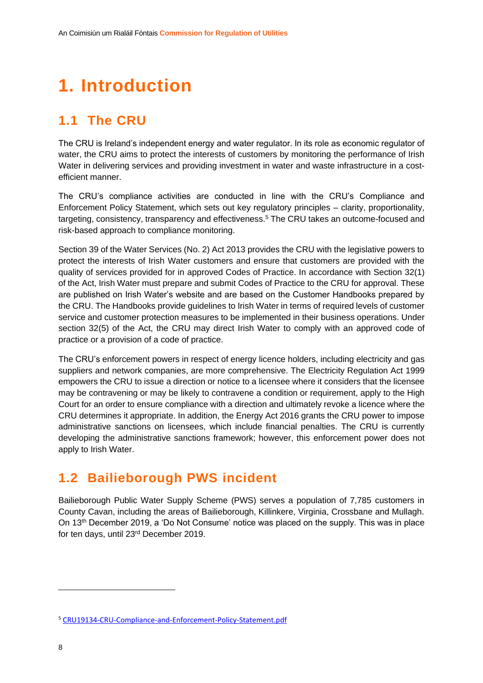# <span id="page-8-0"></span>**1. Introduction**

### <span id="page-8-1"></span>**1.1 The CRU**

The CRU is Ireland's independent energy and water regulator. In its role as economic regulator of water, the CRU aims to protect the interests of customers by monitoring the performance of Irish Water in delivering services and providing investment in water and waste infrastructure in a costefficient manner.

The CRU's compliance activities are conducted in line with the CRU's Compliance and Enforcement Policy Statement, which sets out key regulatory principles – clarity, proportionality, targeting, consistency, transparency and effectiveness.<sup>5</sup> The CRU takes an outcome-focused and risk-based approach to compliance monitoring.

Section 39 of the Water Services (No. 2) Act 2013 provides the CRU with the legislative powers to protect the interests of Irish Water customers and ensure that customers are provided with the quality of services provided for in approved Codes of Practice. In accordance with Section 32(1) of the Act, Irish Water must prepare and submit Codes of Practice to the CRU for approval. These are published on Irish Water's website and are based on the Customer Handbooks prepared by the CRU. The Handbooks provide guidelines to Irish Water in terms of required levels of customer service and customer protection measures to be implemented in their business operations. Under section 32(5) of the Act, the CRU may direct Irish Water to comply with an approved code of practice or a provision of a code of practice.

The CRU's enforcement powers in respect of energy licence holders, including electricity and gas suppliers and network companies, are more comprehensive. The Electricity Regulation Act 1999 empowers the CRU to issue a direction or notice to a licensee where it considers that the licensee may be contravening or may be likely to contravene a condition or requirement, apply to the High Court for an order to ensure compliance with a direction and ultimately revoke a licence where the CRU determines it appropriate. In addition, the Energy Act 2016 grants the CRU power to impose administrative sanctions on licensees, which include financial penalties. The CRU is currently developing the administrative sanctions framework; however, this enforcement power does not apply to Irish Water.

### <span id="page-8-2"></span>**1.2 Bailieborough PWS incident**

Bailieborough Public Water Supply Scheme (PWS) serves a population of 7,785 customers in County Cavan, including the areas of Bailieborough, Killinkere, Virginia, Crossbane and Mullagh. On 13th December 2019, a 'Do Not Consume' notice was placed on the supply. This was in place for ten days, until 23rd December 2019.

<sup>5</sup> [CRU19134-CRU-Compliance-and-Enforcement-Policy-Statement.pdf](https://www.cru.ie/wp-content/uploads/2019/11/CRU19134-CRU-Compliance-and-Enforcement-Policy-Statement.pdf)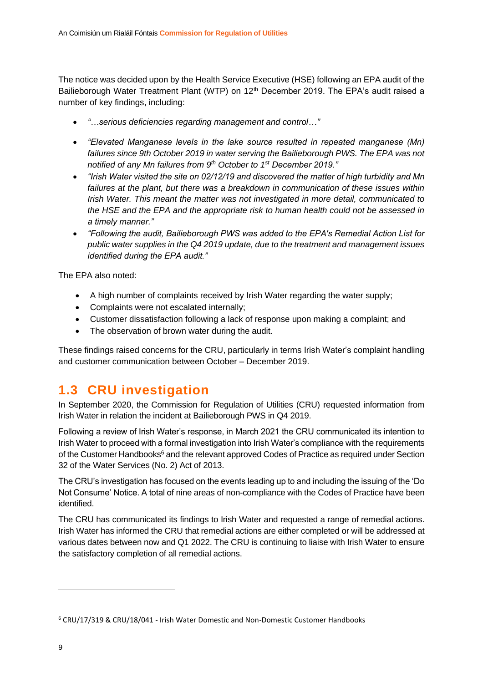The notice was decided upon by the Health Service Executive (HSE) following an EPA audit of the Bailieborough Water Treatment Plant (WTP) on 12<sup>th</sup> December 2019. The EPA's audit raised a number of key findings, including:

- *"…serious deficiencies regarding management and control…"*
- *"Elevated Manganese levels in the lake source resulted in repeated manganese (Mn) failures since 9th October 2019 in water serving the Bailieborough PWS. The EPA was not notified of any Mn failures from 9th October to 1st December 2019."*
- *"Irish Water visited the site on 02/12/19 and discovered the matter of high turbidity and Mn failures at the plant, but there was a breakdown in communication of these issues within Irish Water. This meant the matter was not investigated in more detail, communicated to the HSE and the EPA and the appropriate risk to human health could not be assessed in a timely manner."*
- *"Following the audit, Bailieborough PWS was added to the EPA's Remedial Action List for public water supplies in the Q4 2019 update, due to the treatment and management issues identified during the EPA audit."*

The EPA also noted:

- A high number of complaints received by Irish Water regarding the water supply;
- Complaints were not escalated internally;
- Customer dissatisfaction following a lack of response upon making a complaint; and
- The observation of brown water during the audit.

These findings raised concerns for the CRU, particularly in terms Irish Water's complaint handling and customer communication between October – December 2019.

### <span id="page-9-0"></span>**1.3 CRU investigation**

In September 2020, the Commission for Regulation of Utilities (CRU) requested information from Irish Water in relation the incident at Bailieborough PWS in Q4 2019.

Following a review of Irish Water's response, in March 2021 the CRU communicated its intention to Irish Water to proceed with a formal investigation into Irish Water's compliance with the requirements of the Customer Handbooks<sup>6</sup> and the relevant approved Codes of Practice as required under Section 32 of the Water Services (No. 2) Act of 2013.

The CRU's investigation has focused on the events leading up to and including the issuing of the 'Do Not Consume' Notice. A total of nine areas of non-compliance with the Codes of Practice have been identified.

The CRU has communicated its findings to Irish Water and requested a range of remedial actions. Irish Water has informed the CRU that remedial actions are either completed or will be addressed at various dates between now and Q1 2022. The CRU is continuing to liaise with Irish Water to ensure the satisfactory completion of all remedial actions.

<sup>6</sup> CRU/17/319 & CRU/18/041 - Irish Water Domestic and Non-Domestic Customer Handbooks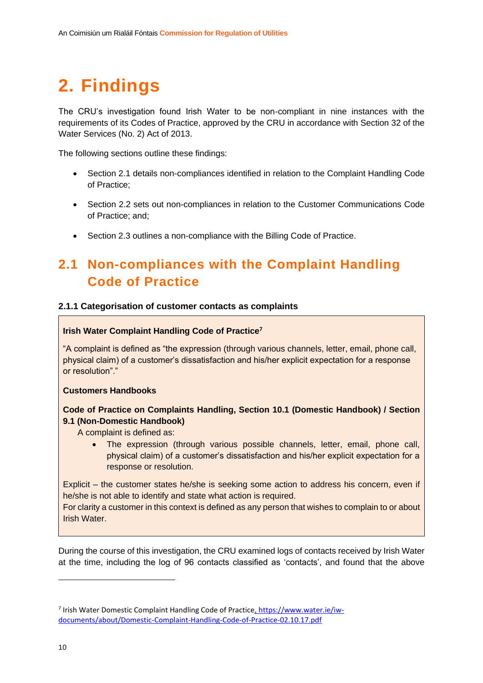# <span id="page-10-0"></span>**2. Findings**

The CRU's investigation found Irish Water to be non-compliant in nine instances with the requirements of its Codes of Practice, approved by the CRU in accordance with Section 32 of the Water Services (No. 2) Act of 2013.

The following sections outline these findings:

- Section 2.1 details non-compliances identified in relation to the Complaint Handling Code of Practice;
- Section 2.2 sets out non-compliances in relation to the Customer Communications Code of Practice; and;
- Section 2.3 outlines a non-compliance with the Billing Code of Practice.

### <span id="page-10-1"></span>**2.1 Non-compliances with the Complaint Handling Code of Practice**

#### <span id="page-10-2"></span>**2.1.1 Categorisation of customer contacts as complaints**

#### **Irish Water Complaint Handling Code of Practice<sup>7</sup>**

"A complaint is defined as "the expression (through various channels, letter, email, phone call, physical claim) of a customer's dissatisfaction and his/her explicit expectation for a response or resolution"."

#### **Customers Handbooks**

#### **Code of Practice on Complaints Handling, Section 10.1 (Domestic Handbook) / Section 9.1 (Non-Domestic Handbook)**

A complaint is defined as:

• The expression (through various possible channels, letter, email, phone call, physical claim) of a customer's dissatisfaction and his/her explicit expectation for a response or resolution.

Explicit – the customer states he/she is seeking some action to address his concern, even if he/she is not able to identify and state what action is required.

For clarity a customer in this context is defined as any person that wishes to complain to or about Irish Water.

During the course of this investigation, the CRU examined logs of contacts received by Irish Water at the time, including the log of 96 contacts classified as 'contacts', and found that the above

<sup>&</sup>lt;sup>7</sup> Irish Water Domestic Complaint Handling Code of Practice<u>, https://www.water.ie/iw-</u> [documents/about/Domestic-Complaint-Handling-Code-of-Practice-02.10.17.pdf](https://www.water.ie/iw-documents/about/Domestic-Complaint-Handling-Code-of-Practice-02.10.17.pdf)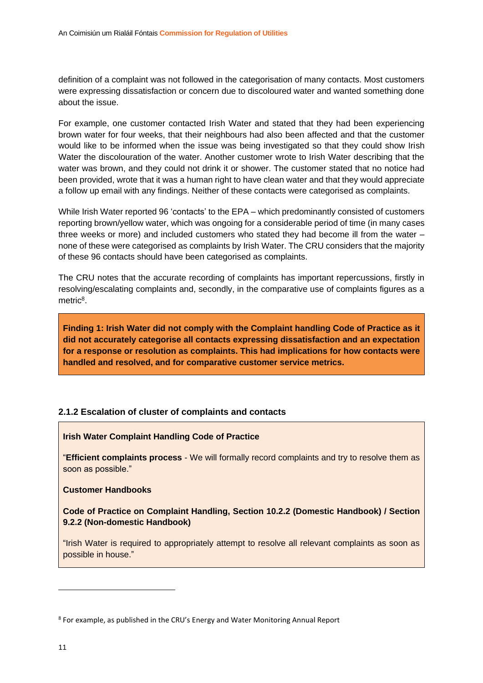definition of a complaint was not followed in the categorisation of many contacts. Most customers were expressing dissatisfaction or concern due to discoloured water and wanted something done about the issue.

For example, one customer contacted Irish Water and stated that they had been experiencing brown water for four weeks, that their neighbours had also been affected and that the customer would like to be informed when the issue was being investigated so that they could show Irish Water the discolouration of the water. Another customer wrote to Irish Water describing that the water was brown, and they could not drink it or shower. The customer stated that no notice had been provided, wrote that it was a human right to have clean water and that they would appreciate a follow up email with any findings. Neither of these contacts were categorised as complaints.

While Irish Water reported 96 'contacts' to the EPA – which predominantly consisted of customers reporting brown/yellow water, which was ongoing for a considerable period of time (in many cases three weeks or more) and included customers who stated they had become ill from the water – none of these were categorised as complaints by Irish Water. The CRU considers that the majority of these 96 contacts should have been categorised as complaints.

The CRU notes that the accurate recording of complaints has important repercussions, firstly in resolving/escalating complaints and, secondly, in the comparative use of complaints figures as a metric<sup>8</sup>.

**Finding 1: Irish Water did not comply with the Complaint handling Code of Practice as it did not accurately categorise all contacts expressing dissatisfaction and an expectation for a response or resolution as complaints. This had implications for how contacts were handled and resolved, and for comparative customer service metrics.**

#### <span id="page-11-0"></span>**2.1.2 Escalation of cluster of complaints and contacts**

#### **Irish Water Complaint Handling Code of Practice**

"**Efficient complaints process** - We will formally record complaints and try to resolve them as soon as possible."

#### **Customer Handbooks**

#### **Code of Practice on Complaint Handling, Section 10.2.2 (Domestic Handbook) / Section 9.2.2 (Non-domestic Handbook)**

"Irish Water is required to appropriately attempt to resolve all relevant complaints as soon as possible in house."

<sup>&</sup>lt;sup>8</sup> For example, as published in the CRU's Energy and Water Monitoring Annual Report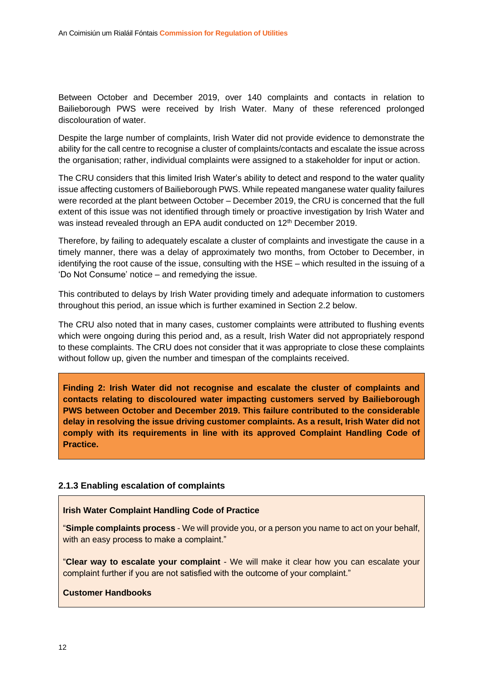Between October and December 2019, over 140 complaints and contacts in relation to Bailieborough PWS were received by Irish Water. Many of these referenced prolonged discolouration of water.

Despite the large number of complaints, Irish Water did not provide evidence to demonstrate the ability for the call centre to recognise a cluster of complaints/contacts and escalate the issue across the organisation; rather, individual complaints were assigned to a stakeholder for input or action.

The CRU considers that this limited Irish Water's ability to detect and respond to the water quality issue affecting customers of Bailieborough PWS. While repeated manganese water quality failures were recorded at the plant between October – December 2019, the CRU is concerned that the full extent of this issue was not identified through timely or proactive investigation by Irish Water and was instead revealed through an EPA audit conducted on 12<sup>th</sup> December 2019.

Therefore, by failing to adequately escalate a cluster of complaints and investigate the cause in a timely manner, there was a delay of approximately two months, from October to December, in identifying the root cause of the issue, consulting with the HSE – which resulted in the issuing of a 'Do Not Consume' notice – and remedying the issue.

This contributed to delays by Irish Water providing timely and adequate information to customers throughout this period, an issue which is further examined in Section 2.2 below.

The CRU also noted that in many cases, customer complaints were attributed to flushing events which were ongoing during this period and, as a result, Irish Water did not appropriately respond to these complaints. The CRU does not consider that it was appropriate to close these complaints without follow up, given the number and timespan of the complaints received.

**Finding 2: Irish Water did not recognise and escalate the cluster of complaints and contacts relating to discoloured water impacting customers served by Bailieborough PWS between October and December 2019. This failure contributed to the considerable delay in resolving the issue driving customer complaints. As a result, Irish Water did not comply with its requirements in line with its approved Complaint Handling Code of Practice.**

#### <span id="page-12-0"></span>**2.1.3 Enabling escalation of complaints**

#### **Irish Water Complaint Handling Code of Practice**

"**Simple complaints process** - We will provide you, or a person you name to act on your behalf, with an easy process to make a complaint."

"**Clear way to escalate your complaint** - We will make it clear how you can escalate your complaint further if you are not satisfied with the outcome of your complaint."

#### **Customer Handbooks**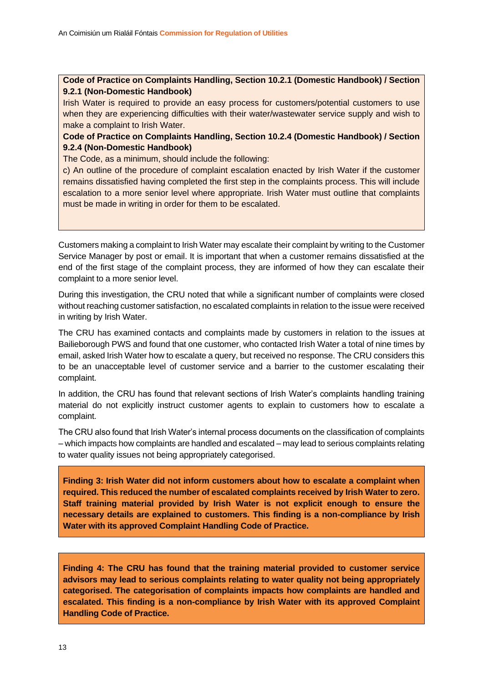#### **Code of Practice on Complaints Handling, Section 10.2.1 (Domestic Handbook) / Section 9.2.1 (Non-Domestic Handbook)**

Irish Water is required to provide an easy process for customers/potential customers to use when they are experiencing difficulties with their water/wastewater service supply and wish to make a complaint to Irish Water.

#### **Code of Practice on Complaints Handling, Section 10.2.4 (Domestic Handbook) / Section 9.2.4 (Non-Domestic Handbook)**

The Code, as a minimum, should include the following:

c) An outline of the procedure of complaint escalation enacted by Irish Water if the customer remains dissatisfied having completed the first step in the complaints process. This will include escalation to a more senior level where appropriate. Irish Water must outline that complaints must be made in writing in order for them to be escalated.

Customers making a complaint to Irish Water may escalate their complaint by writing to the Customer Service Manager by post or email. It is important that when a customer remains dissatisfied at the end of the first stage of the complaint process, they are informed of how they can escalate their complaint to a more senior level.

During this investigation, the CRU noted that while a significant number of complaints were closed without reaching customer satisfaction, no escalated complaints in relation to the issue were received in writing by Irish Water.

The CRU has examined contacts and complaints made by customers in relation to the issues at Bailieborough PWS and found that one customer, who contacted Irish Water a total of nine times by email, asked Irish Water how to escalate a query, but received no response. The CRU considers this to be an unacceptable level of customer service and a barrier to the customer escalating their complaint.

In addition, the CRU has found that relevant sections of Irish Water's complaints handling training material do not explicitly instruct customer agents to explain to customers how to escalate a complaint.

The CRU also found that Irish Water's internal process documents on the classification of complaints – which impacts how complaints are handled and escalated – may lead to serious complaints relating to water quality issues not being appropriately categorised.

**Finding 3: Irish Water did not inform customers about how to escalate a complaint when required. This reduced the number of escalated complaints received by Irish Water to zero. Staff training material provided by Irish Water is not explicit enough to ensure the necessary details are explained to customers. This finding is a non-compliance by Irish Water with its approved Complaint Handling Code of Practice.**

**Finding 4: The CRU has found that the training material provided to customer service advisors may lead to serious complaints relating to water quality not being appropriately categorised. The categorisation of complaints impacts how complaints are handled and escalated. This finding is a non-compliance by Irish Water with its approved Complaint Handling Code of Practice.**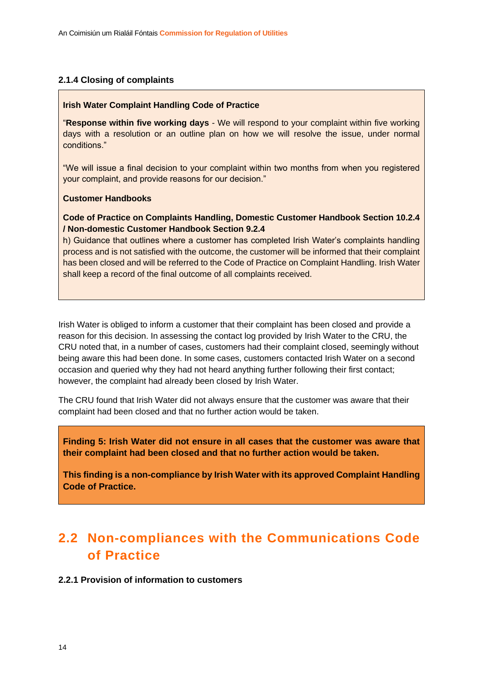#### <span id="page-14-0"></span>**2.1.4 Closing of complaints**

#### **Irish Water Complaint Handling Code of Practice**

"**Response within five working days** - We will respond to your complaint within five working days with a resolution or an outline plan on how we will resolve the issue, under normal conditions."

"We will issue a final decision to your complaint within two months from when you registered your complaint, and provide reasons for our decision."

#### **Customer Handbooks**

**Code of Practice on Complaints Handling, Domestic Customer Handbook Section 10.2.4 / Non-domestic Customer Handbook Section 9.2.4**

h) Guidance that outlines where a customer has completed Irish Water's complaints handling process and is not satisfied with the outcome, the customer will be informed that their complaint has been closed and will be referred to the Code of Practice on Complaint Handling. Irish Water shall keep a record of the final outcome of all complaints received.

Irish Water is obliged to inform a customer that their complaint has been closed and provide a reason for this decision. In assessing the contact log provided by Irish Water to the CRU, the CRU noted that, in a number of cases, customers had their complaint closed, seemingly without being aware this had been done. In some cases, customers contacted Irish Water on a second occasion and queried why they had not heard anything further following their first contact; however, the complaint had already been closed by Irish Water.

The CRU found that Irish Water did not always ensure that the customer was aware that their complaint had been closed and that no further action would be taken.

**Finding 5: Irish Water did not ensure in all cases that the customer was aware that their complaint had been closed and that no further action would be taken.**

**This finding is a non-compliance by Irish Water with its approved Complaint Handling Code of Practice.**

### <span id="page-14-1"></span>**2.2 Non-compliances with the Communications Code of Practice**

#### <span id="page-14-2"></span>**2.2.1 Provision of information to customers**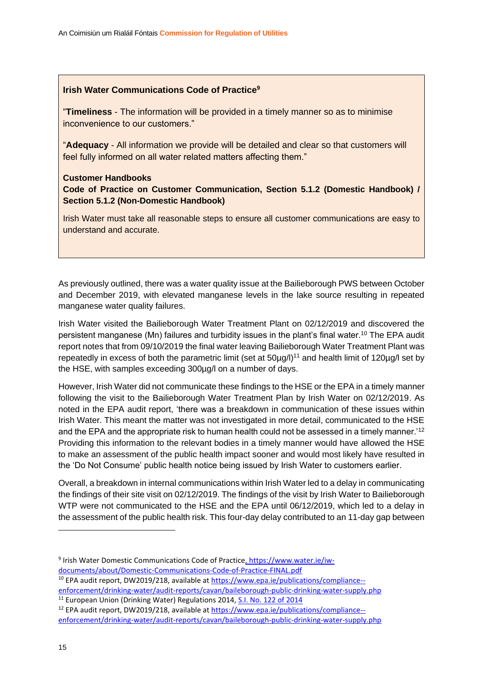#### **Irish Water Communications Code of Practice<sup>9</sup>**

"**Timeliness** - The information will be provided in a timely manner so as to minimise inconvenience to our customers."

"**Adequacy** - All information we provide will be detailed and clear so that customers will feel fully informed on all water related matters affecting them."

#### **Customer Handbooks**

**Code of Practice on Customer Communication, Section 5.1.2 (Domestic Handbook) / Section 5.1.2 (Non-Domestic Handbook)**

Irish Water must take all reasonable steps to ensure all customer communications are easy to understand and accurate.

As previously outlined, there was a water quality issue at the Bailieborough PWS between October and December 2019, with elevated manganese levels in the lake source resulting in repeated manganese water quality failures.

Irish Water visited the Bailieborough Water Treatment Plant on 02/12/2019 and discovered the persistent manganese (Mn) failures and turbidity issues in the plant's final water.<sup>10</sup> The EPA audit report notes that from 09/10/2019 the final water leaving Bailieborough Water Treatment Plant was repeatedly in excess of both the parametric limit (set at 50µg/l)<sup>11</sup> and health limit of 120µg/l set by the HSE, with samples exceeding 300µg/l on a number of days.

However, Irish Water did not communicate these findings to the HSE or the EPA in a timely manner following the visit to the Bailieborough Water Treatment Plan by Irish Water on 02/12/2019. As noted in the EPA audit report, 'there was a breakdown in communication of these issues within Irish Water. This meant the matter was not investigated in more detail, communicated to the HSE and the EPA and the appropriate risk to human health could not be assessed in a timely manner.'<sup>12</sup> Providing this information to the relevant bodies in a timely manner would have allowed the HSE to make an assessment of the public health impact sooner and would most likely have resulted in the 'Do Not Consume' public health notice being issued by Irish Water to customers earlier.

Overall, a breakdown in internal communications within Irish Water led to a delay in communicating the findings of their site visit on 02/12/2019. The findings of the visit by Irish Water to Bailieborough WTP were not communicated to the HSE and the EPA until 06/12/2019, which led to a delay in the assessment of the public health risk. This four-day delay contributed to an 11-day gap between

<sup>&</sup>lt;sup>9</sup> Irish Water Domestic Communications Code of Practice<u>, https://www.water.ie/iw-</u> documents/about/Domestic-Communications-Code-of-Practice-FINAL.pdf

<sup>10</sup> EPA audit report, DW2019/218, available a[t https://www.epa.ie/publications/compliance--](https://www.epa.ie/publications/compliance--enforcement/drinking-water/audit-reports/cavan/baileborough-public-drinking-water-supply.php)

[enforcement/drinking-water/audit-reports/cavan/baileborough-public-drinking-water-supply.php](https://www.epa.ie/publications/compliance--enforcement/drinking-water/audit-reports/cavan/baileborough-public-drinking-water-supply.php) <sup>11</sup> European Union (Drinking Water) Regulations 2014, [S.I. No. 122 of 2014](http://www.irishstatutebook.ie/eli/2014/si/122/made/en/pdf)

<sup>12</sup> EPA audit report, DW2019/218, available a[t https://www.epa.ie/publications/compliance-](https://www.epa.ie/publications/compliance--enforcement/drinking-water/audit-reports/cavan/baileborough-public-drinking-water-supply.php) [enforcement/drinking-water/audit-reports/cavan/baileborough-public-drinking-water-supply.php](https://www.epa.ie/publications/compliance--enforcement/drinking-water/audit-reports/cavan/baileborough-public-drinking-water-supply.php)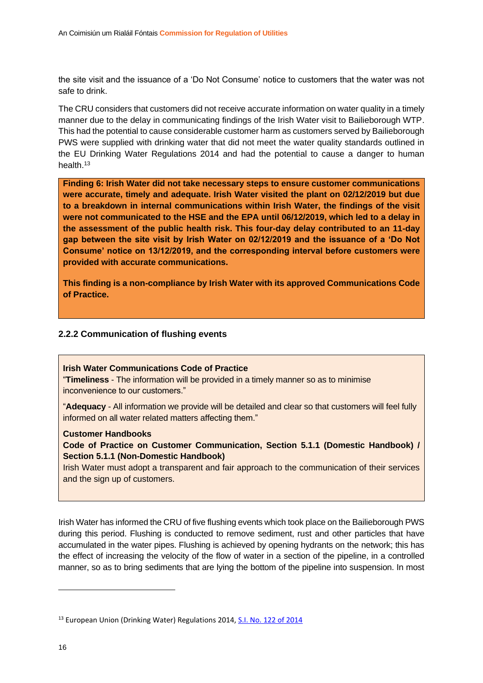the site visit and the issuance of a 'Do Not Consume' notice to customers that the water was not safe to drink.

The CRU considers that customers did not receive accurate information on water quality in a timely manner due to the delay in communicating findings of the Irish Water visit to Bailieborough WTP. This had the potential to cause considerable customer harm as customers served by Bailieborough PWS were supplied with drinking water that did not meet the water quality standards outlined in the EU Drinking Water Regulations 2014 and had the potential to cause a danger to human health.<sup>13</sup>

**Finding 6: Irish Water did not take necessary steps to ensure customer communications were accurate, timely and adequate. Irish Water visited the plant on 02/12/2019 but due to a breakdown in internal communications within Irish Water, the findings of the visit were not communicated to the HSE and the EPA until 06/12/2019, which led to a delay in the assessment of the public health risk. This four-day delay contributed to an 11-day gap between the site visit by Irish Water on 02/12/2019 and the issuance of a 'Do Not Consume' notice on 13/12/2019, and the corresponding interval before customers were provided with accurate communications.** 

**This finding is a non-compliance by Irish Water with its approved Communications Code of Practice.**

#### <span id="page-16-0"></span>**2.2.2 Communication of flushing events**

#### **Irish Water Communications Code of Practice**

"**Timeliness** - The information will be provided in a timely manner so as to minimise inconvenience to our customers."

"**Adequacy** - All information we provide will be detailed and clear so that customers will feel fully informed on all water related matters affecting them."

#### **Customer Handbooks**

**Code of Practice on Customer Communication, Section 5.1.1 (Domestic Handbook) / Section 5.1.1 (Non-Domestic Handbook)**

Irish Water must adopt a transparent and fair approach to the communication of their services and the sign up of customers.

Irish Water has informed the CRU of five flushing events which took place on the Bailieborough PWS during this period. Flushing is conducted to remove sediment, rust and other particles that have accumulated in the water pipes. Flushing is achieved by opening hydrants on the network; this has the effect of increasing the velocity of the flow of water in a section of the pipeline, in a controlled manner, so as to bring sediments that are lying the bottom of the pipeline into suspension. In most

<sup>&</sup>lt;sup>13</sup> European Union (Drinking Water) Regulations 2014, [S.I. No. 122 of 2014](http://www.irishstatutebook.ie/eli/2014/si/122/made/en/pdf)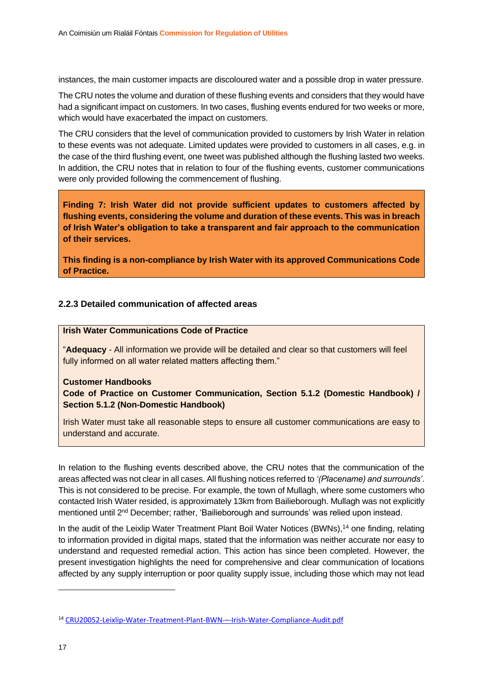instances, the main customer impacts are discoloured water and a possible drop in water pressure.

The CRU notes the volume and duration of these flushing events and considers that they would have had a significant impact on customers. In two cases, flushing events endured for two weeks or more, which would have exacerbated the impact on customers.

The CRU considers that the level of communication provided to customers by Irish Water in relation to these events was not adequate. Limited updates were provided to customers in all cases, e.g. in the case of the third flushing event, one tweet was published although the flushing lasted two weeks. In addition, the CRU notes that in relation to four of the flushing events, customer communications were only provided following the commencement of flushing.

**Finding 7: Irish Water did not provide sufficient updates to customers affected by flushing events, considering the volume and duration of these events. This was in breach of Irish Water's obligation to take a transparent and fair approach to the communication of their services.** 

**This finding is a non-compliance by Irish Water with its approved Communications Code of Practice.**

#### <span id="page-17-0"></span>**2.2.3 Detailed communication of affected areas**

#### **Irish Water Communications Code of Practice**

"**Adequacy** - All information we provide will be detailed and clear so that customers will feel fully informed on all water related matters affecting them."

#### **Customer Handbooks**

**Code of Practice on Customer Communication, Section 5.1.2 (Domestic Handbook) / Section 5.1.2 (Non-Domestic Handbook)**

Irish Water must take all reasonable steps to ensure all customer communications are easy to understand and accurate.

In relation to the flushing events described above, the CRU notes that the communication of the areas affected was not clear in all cases. All flushing notices referred to *'(Placename) and surrounds'*. This is not considered to be precise. For example, the town of Mullagh, where some customers who contacted Irish Water resided, is approximately 13km from Bailieborough. Mullagh was not explicitly mentioned until 2<sup>nd</sup> December; rather, 'Bailieborough and surrounds' was relied upon instead.

In the audit of the Leixlip Water Treatment Plant Boil Water Notices (BWNs),<sup>14</sup> one finding, relating to information provided in digital maps, stated that the information was neither accurate nor easy to understand and requested remedial action. This action has since been completed. However, the present investigation highlights the need for comprehensive and clear communication of locations affected by any supply interruption or poor quality supply issue, including those which may not lead

<sup>14</sup> [CRU20052-Leixlip-Water-Treatment-Plant-BWN-](https://www.cru.ie/wp-content/uploads/2020/04/CRU20052-Leixlip-Water-Treatment-Plant-BWN-%E2%80%93-Irish-Water-Compliance-Audit.pdf)–-Irish-Water-Compliance-Audit.pdf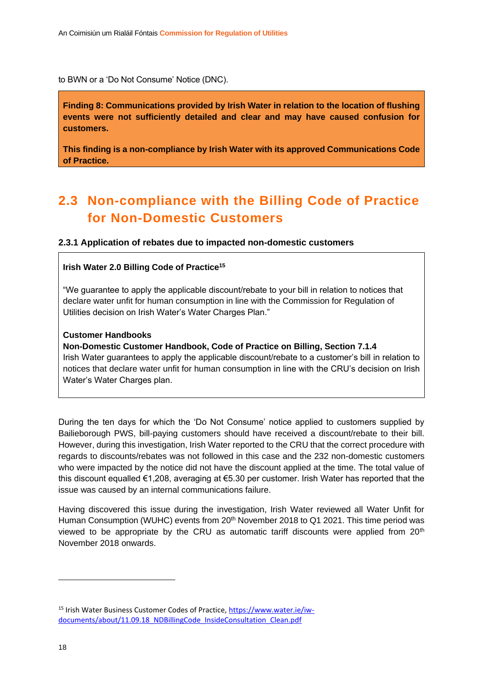to BWN or a 'Do Not Consume' Notice (DNC).

**Finding 8: Communications provided by Irish Water in relation to the location of flushing events were not sufficiently detailed and clear and may have caused confusion for customers.**

**This finding is a non-compliance by Irish Water with its approved Communications Code of Practice.**

## <span id="page-18-0"></span>**2.3 Non-compliance with the Billing Code of Practice for Non-Domestic Customers**

#### <span id="page-18-1"></span>**2.3.1 Application of rebates due to impacted non-domestic customers**

#### **Irish Water 2.0 Billing Code of Practice<sup>15</sup>**

"We guarantee to apply the applicable discount/rebate to your bill in relation to notices that declare water unfit for human consumption in line with the Commission for Regulation of Utilities decision on Irish Water's Water Charges Plan."

#### **Customer Handbooks**

**Non-Domestic Customer Handbook, Code of Practice on Billing, Section 7.1.4** Irish Water guarantees to apply the applicable discount/rebate to a customer's bill in relation to notices that declare water unfit for human consumption in line with the CRU's decision on Irish Water's Water Charges plan.

During the ten days for which the 'Do Not Consume' notice applied to customers supplied by Bailieborough PWS, bill-paying customers should have received a discount/rebate to their bill. However, during this investigation, Irish Water reported to the CRU that the correct procedure with regards to discounts/rebates was not followed in this case and the 232 non-domestic customers who were impacted by the notice did not have the discount applied at the time. The total value of this discount equalled €1,208, averaging at €5.30 per customer. Irish Water has reported that the issue was caused by an internal communications failure.

Having discovered this issue during the investigation, Irish Water reviewed all Water Unfit for Human Consumption (WUHC) events from 20<sup>th</sup> November 2018 to Q1 2021. This time period was viewed to be appropriate by the CRU as automatic tariff discounts were applied from 20<sup>th</sup> November 2018 onwards.

<sup>15</sup> Irish Water Business Customer Codes of Practice, [https://www.water.ie/iw](https://www.water.ie/iw-documents/about/11.09.18_NDBillingCode_InsideConsultation_Clean.pdf)[documents/about/11.09.18\\_NDBillingCode\\_InsideConsultation\\_Clean.pdf](https://www.water.ie/iw-documents/about/11.09.18_NDBillingCode_InsideConsultation_Clean.pdf)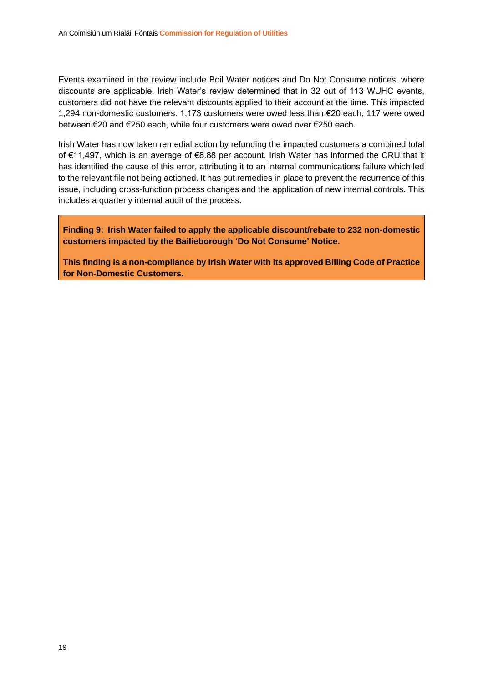Events examined in the review include Boil Water notices and Do Not Consume notices, where discounts are applicable. Irish Water's review determined that in 32 out of 113 WUHC events, customers did not have the relevant discounts applied to their account at the time. This impacted 1,294 non-domestic customers. 1,173 customers were owed less than €20 each, 117 were owed between €20 and €250 each, while four customers were owed over €250 each.

Irish Water has now taken remedial action by refunding the impacted customers a combined total of €11,497, which is an average of €8.88 per account. Irish Water has informed the CRU that it has identified the cause of this error, attributing it to an internal communications failure which led to the relevant file not being actioned. It has put remedies in place to prevent the recurrence of this issue, including cross-function process changes and the application of new internal controls. This includes a quarterly internal audit of the process.

**Finding 9: Irish Water failed to apply the applicable discount/rebate to 232 non-domestic customers impacted by the Bailieborough 'Do Not Consume' Notice.** 

**This finding is a non-compliance by Irish Water with its approved Billing Code of Practice for Non-Domestic Customers.**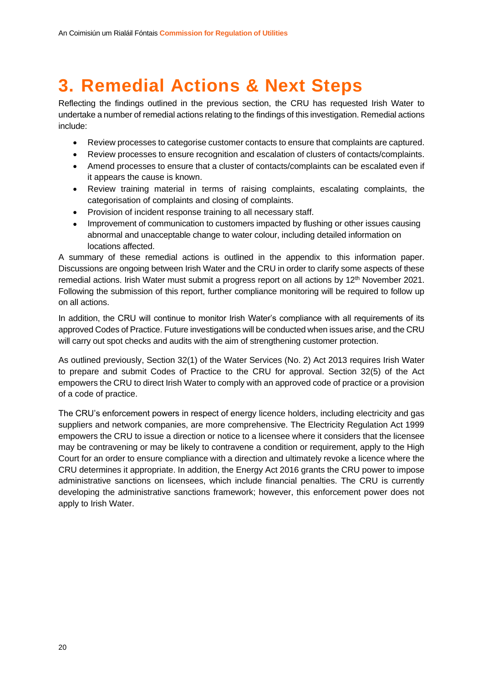# <span id="page-20-0"></span>**3. Remedial Actions & Next Steps**

Reflecting the findings outlined in the previous section, the CRU has requested Irish Water to undertake a number of remedial actions relating to the findings of this investigation. Remedial actions include:

- Review processes to categorise customer contacts to ensure that complaints are captured.
- Review processes to ensure recognition and escalation of clusters of contacts/complaints.
- Amend processes to ensure that a cluster of contacts/complaints can be escalated even if it appears the cause is known.
- Review training material in terms of raising complaints, escalating complaints, the categorisation of complaints and closing of complaints.
- Provision of incident response training to all necessary staff.
- Improvement of communication to customers impacted by flushing or other issues causing abnormal and unacceptable change to water colour, including detailed information on locations affected.

A summary of these remedial actions is outlined in the appendix to this information paper. Discussions are ongoing between Irish Water and the CRU in order to clarify some aspects of these remedial actions. Irish Water must submit a progress report on all actions by 12<sup>th</sup> November 2021. Following the submission of this report, further compliance monitoring will be required to follow up on all actions.

In addition, the CRU will continue to monitor Irish Water's compliance with all requirements of its approved Codes of Practice. Future investigations will be conducted when issues arise, and the CRU will carry out spot checks and audits with the aim of strengthening customer protection.

As outlined previously, Section 32(1) of the Water Services (No. 2) Act 2013 requires Irish Water to prepare and submit Codes of Practice to the CRU for approval. Section 32(5) of the Act empowers the CRU to direct Irish Water to comply with an approved code of practice or a provision of a code of practice.

The CRU's enforcement powers in respect of energy licence holders, including electricity and gas suppliers and network companies, are more comprehensive. The Electricity Regulation Act 1999 empowers the CRU to issue a direction or notice to a licensee where it considers that the licensee may be contravening or may be likely to contravene a condition or requirement, apply to the High Court for an order to ensure compliance with a direction and ultimately revoke a licence where the CRU determines it appropriate. In addition, the Energy Act 2016 grants the CRU power to impose administrative sanctions on licensees, which include financial penalties. The CRU is currently developing the administrative sanctions framework; however, this enforcement power does not apply to Irish Water.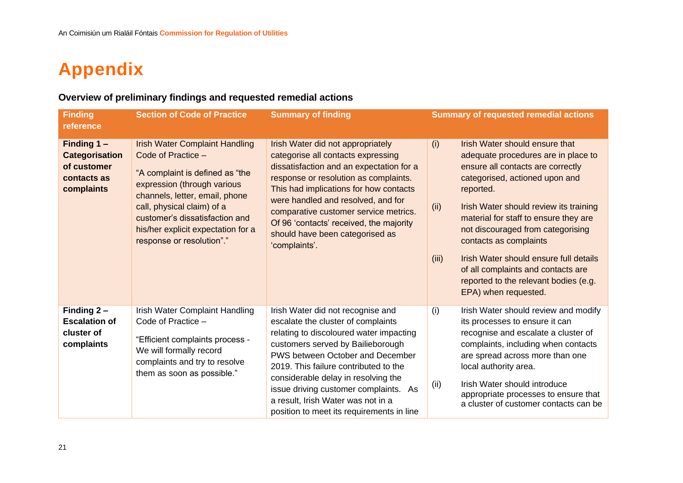# **Appendix**

### **Overview of preliminary findings and requested remedial actions**

<span id="page-21-0"></span>

| <b>Finding</b><br>reference                                                     | <b>Section of Code of Practice</b>                                                                                                                                                                                                                                                                 | <b>Summary of finding</b>                                                                                                                                                                                                                                                                                                                                                                               | <b>Summary of requested remedial actions</b>                                                                                                                                                                                                                                                                                                                                                                                                                                         |
|---------------------------------------------------------------------------------|----------------------------------------------------------------------------------------------------------------------------------------------------------------------------------------------------------------------------------------------------------------------------------------------------|---------------------------------------------------------------------------------------------------------------------------------------------------------------------------------------------------------------------------------------------------------------------------------------------------------------------------------------------------------------------------------------------------------|--------------------------------------------------------------------------------------------------------------------------------------------------------------------------------------------------------------------------------------------------------------------------------------------------------------------------------------------------------------------------------------------------------------------------------------------------------------------------------------|
| Finding 1-<br><b>Categorisation</b><br>of customer<br>contacts as<br>complaints | <b>Irish Water Complaint Handling</b><br>Code of Practice -<br>"A complaint is defined as "the<br>expression (through various<br>channels, letter, email, phone<br>call, physical claim) of a<br>customer's dissatisfaction and<br>his/her explicit expectation for a<br>response or resolution"." | Irish Water did not appropriately<br>categorise all contacts expressing<br>dissatisfaction and an expectation for a<br>response or resolution as complaints.<br>This had implications for how contacts<br>were handled and resolved, and for<br>comparative customer service metrics.<br>Of 96 'contacts' received, the majority<br>should have been categorised as<br>'complaints'.                    | Irish Water should ensure that<br>(i)<br>adequate procedures are in place to<br>ensure all contacts are correctly<br>categorised, actioned upon and<br>reported.<br>(ii)<br>Irish Water should review its training<br>material for staff to ensure they are<br>not discouraged from categorising<br>contacts as complaints<br>Irish Water should ensure full details<br>(iii)<br>of all complaints and contacts are<br>reported to the relevant bodies (e.g.<br>EPA) when requested. |
| Finding 2-<br><b>Escalation of</b><br>cluster of<br>complaints                  | Irish Water Complaint Handling<br>Code of Practice -<br>"Efficient complaints process -<br>We will formally record<br>complaints and try to resolve<br>them as soon as possible."                                                                                                                  | Irish Water did not recognise and<br>escalate the cluster of complaints<br>relating to discoloured water impacting<br>customers served by Bailieborough<br>PWS between October and December<br>2019. This failure contributed to the<br>considerable delay in resolving the<br>issue driving customer complaints. As<br>a result, Irish Water was not in a<br>position to meet its requirements in line | (i)<br>Irish Water should review and modify<br>its processes to ensure it can<br>recognise and escalate a cluster of<br>complaints, including when contacts<br>are spread across more than one<br>local authority area.<br>(ii)<br>Irish Water should introduce<br>appropriate processes to ensure that<br>a cluster of customer contacts can be                                                                                                                                     |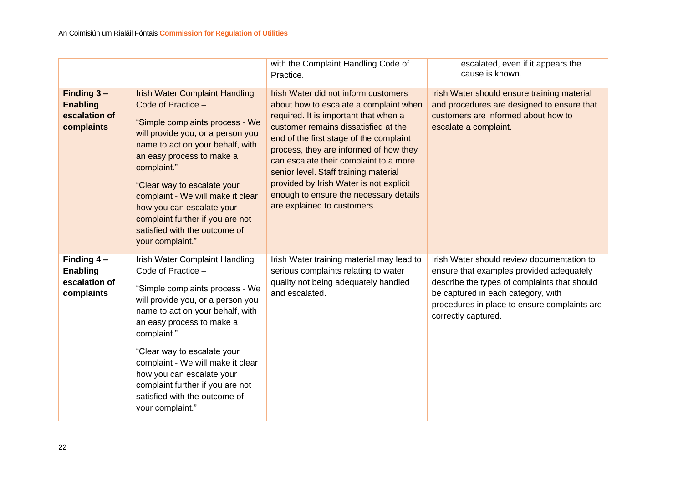|                                                                 |                                                                                                                                                                                                                                                                                                                                                                                                               | with the Complaint Handling Code of<br>Practice.                                                                                                                                                                                                                                                                                                                                                                                                            | escalated, even if it appears the<br>cause is known.                                                                                                                                                                                                |
|-----------------------------------------------------------------|---------------------------------------------------------------------------------------------------------------------------------------------------------------------------------------------------------------------------------------------------------------------------------------------------------------------------------------------------------------------------------------------------------------|-------------------------------------------------------------------------------------------------------------------------------------------------------------------------------------------------------------------------------------------------------------------------------------------------------------------------------------------------------------------------------------------------------------------------------------------------------------|-----------------------------------------------------------------------------------------------------------------------------------------------------------------------------------------------------------------------------------------------------|
| Finding $3 -$<br><b>Enabling</b><br>escalation of<br>complaints | <b>Irish Water Complaint Handling</b><br>Code of Practice -<br>"Simple complaints process - We<br>will provide you, or a person you<br>name to act on your behalf, with<br>an easy process to make a<br>complaint."<br>"Clear way to escalate your<br>complaint - We will make it clear<br>how you can escalate your<br>complaint further if you are not<br>satisfied with the outcome of<br>your complaint." | Irish Water did not inform customers<br>about how to escalate a complaint when<br>required. It is important that when a<br>customer remains dissatisfied at the<br>end of the first stage of the complaint<br>process, they are informed of how they<br>can escalate their complaint to a more<br>senior level. Staff training material<br>provided by Irish Water is not explicit<br>enough to ensure the necessary details<br>are explained to customers. | Irish Water should ensure training material<br>and procedures are designed to ensure that<br>customers are informed about how to<br>escalate a complaint.                                                                                           |
| Finding $4-$<br><b>Enabling</b><br>escalation of<br>complaints  | Irish Water Complaint Handling<br>Code of Practice -<br>"Simple complaints process - We<br>will provide you, or a person you<br>name to act on your behalf, with<br>an easy process to make a<br>complaint."<br>"Clear way to escalate your<br>complaint - We will make it clear<br>how you can escalate your<br>complaint further if you are not<br>satisfied with the outcome of<br>your complaint."        | Irish Water training material may lead to<br>serious complaints relating to water<br>quality not being adequately handled<br>and escalated.                                                                                                                                                                                                                                                                                                                 | Irish Water should review documentation to<br>ensure that examples provided adequately<br>describe the types of complaints that should<br>be captured in each category, with<br>procedures in place to ensure complaints are<br>correctly captured. |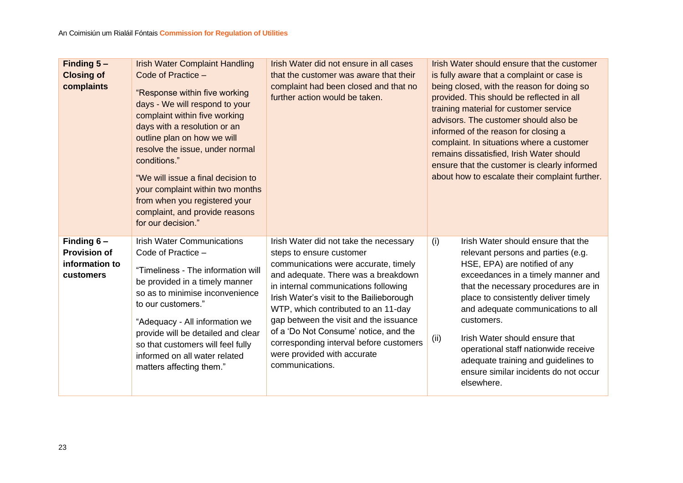| Finding $5 -$<br><b>Closing of</b><br>complaints                    | <b>Irish Water Complaint Handling</b><br>Code of Practice -<br>"Response within five working<br>days - We will respond to your<br>complaint within five working<br>days with a resolution or an<br>outline plan on how we will<br>resolve the issue, under normal<br>conditions."<br>"We will issue a final decision to<br>your complaint within two months<br>from when you registered your<br>complaint, and provide reasons<br>for our decision." | Irish Water did not ensure in all cases<br>that the customer was aware that their<br>complaint had been closed and that no<br>further action would be taken.                                                                                                                                                                                                                                                                                                 | Irish Water should ensure that the customer<br>is fully aware that a complaint or case is<br>being closed, with the reason for doing so<br>provided. This should be reflected in all<br>training material for customer service<br>advisors. The customer should also be<br>informed of the reason for closing a<br>complaint. In situations where a customer<br>remains dissatisfied, Irish Water should<br>ensure that the customer is clearly informed<br>about how to escalate their complaint further. |
|---------------------------------------------------------------------|------------------------------------------------------------------------------------------------------------------------------------------------------------------------------------------------------------------------------------------------------------------------------------------------------------------------------------------------------------------------------------------------------------------------------------------------------|--------------------------------------------------------------------------------------------------------------------------------------------------------------------------------------------------------------------------------------------------------------------------------------------------------------------------------------------------------------------------------------------------------------------------------------------------------------|------------------------------------------------------------------------------------------------------------------------------------------------------------------------------------------------------------------------------------------------------------------------------------------------------------------------------------------------------------------------------------------------------------------------------------------------------------------------------------------------------------|
| Finding $6 -$<br><b>Provision of</b><br>information to<br>customers | <b>Irish Water Communications</b><br>Code of Practice -<br>"Timeliness - The information will<br>be provided in a timely manner<br>so as to minimise inconvenience<br>to our customers."<br>"Adequacy - All information we<br>provide will be detailed and clear<br>so that customers will feel fully<br>informed on all water related<br>matters affecting them."                                                                                   | Irish Water did not take the necessary<br>steps to ensure customer<br>communications were accurate, timely<br>and adequate. There was a breakdown<br>in internal communications following<br>Irish Water's visit to the Bailieborough<br>WTP, which contributed to an 11-day<br>gap between the visit and the issuance<br>of a 'Do Not Consume' notice, and the<br>corresponding interval before customers<br>were provided with accurate<br>communications. | Irish Water should ensure that the<br>(i)<br>relevant persons and parties (e.g.<br>HSE, EPA) are notified of any<br>exceedances in a timely manner and<br>that the necessary procedures are in<br>place to consistently deliver timely<br>and adequate communications to all<br>customers.<br>Irish Water should ensure that<br>(ii)<br>operational staff nationwide receive<br>adequate training and guidelines to<br>ensure similar incidents do not occur<br>elsewhere.                                 |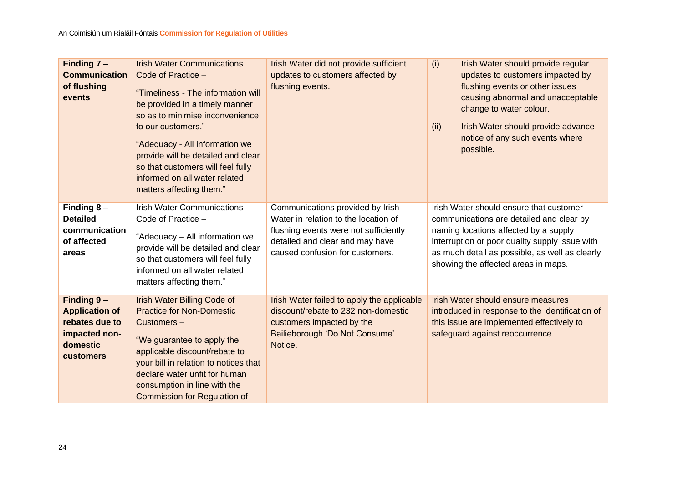| Finding $7 -$<br><b>Communication</b><br>of flushing<br>events                                         | <b>Irish Water Communications</b><br>Code of Practice -<br>"Timeliness - The information will<br>be provided in a timely manner<br>so as to minimise inconvenience<br>to our customers."<br>"Adequacy - All information we<br>provide will be detailed and clear<br>so that customers will feel fully<br>informed on all water related<br>matters affecting them." | Irish Water did not provide sufficient<br>updates to customers affected by<br>flushing events.                                                                                          | (i)<br>Irish Water should provide regular<br>updates to customers impacted by<br>flushing events or other issues<br>causing abnormal and unacceptable<br>change to water colour.<br>Irish Water should provide advance<br>(ii)<br>notice of any such events where<br>possible. |
|--------------------------------------------------------------------------------------------------------|--------------------------------------------------------------------------------------------------------------------------------------------------------------------------------------------------------------------------------------------------------------------------------------------------------------------------------------------------------------------|-----------------------------------------------------------------------------------------------------------------------------------------------------------------------------------------|--------------------------------------------------------------------------------------------------------------------------------------------------------------------------------------------------------------------------------------------------------------------------------|
| Finding $8 -$<br><b>Detailed</b><br>communication<br>of affected<br>areas                              | <b>Irish Water Communications</b><br>Code of Practice -<br>"Adequacy - All information we<br>provide will be detailed and clear<br>so that customers will feel fully<br>informed on all water related<br>matters affecting them."                                                                                                                                  | Communications provided by Irish<br>Water in relation to the location of<br>flushing events were not sufficiently<br>detailed and clear and may have<br>caused confusion for customers. | Irish Water should ensure that customer<br>communications are detailed and clear by<br>naming locations affected by a supply<br>interruption or poor quality supply issue with<br>as much detail as possible, as well as clearly<br>showing the affected areas in maps.        |
| Finding 9-<br><b>Application of</b><br>rebates due to<br>impacted non-<br>domestic<br><b>customers</b> | <b>Irish Water Billing Code of</b><br><b>Practice for Non-Domestic</b><br>Customers-<br>"We guarantee to apply the<br>applicable discount/rebate to<br>your bill in relation to notices that<br>declare water unfit for human<br>consumption in line with the<br><b>Commission for Regulation of</b>                                                               | Irish Water failed to apply the applicable<br>discount/rebate to 232 non-domestic<br>customers impacted by the<br>Bailieborough 'Do Not Consume'<br>Notice.                             | <b>Irish Water should ensure measures</b><br>introduced in response to the identification of<br>this issue are implemented effectively to<br>safeguard against reoccurrence.                                                                                                   |